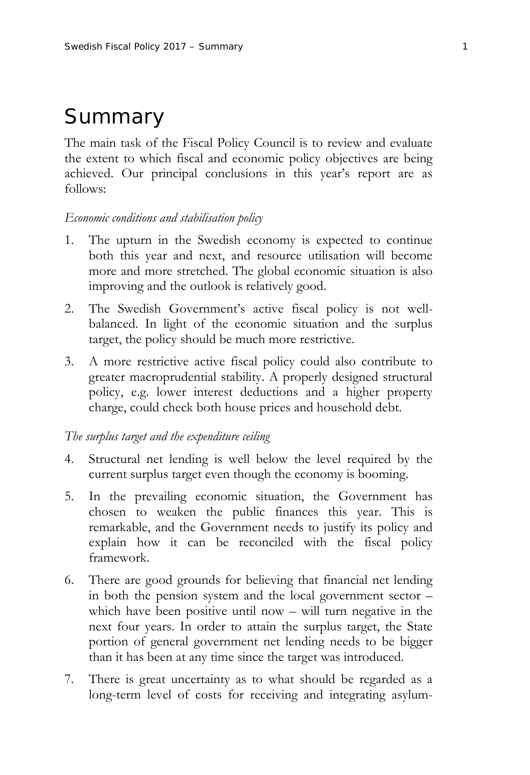# Summary

The main task of the Fiscal Policy Council is to review and evaluate the extent to which fiscal and economic policy objectives are being achieved. Our principal conclusions in this year's report are as follows:

## *Economic conditions and stabilisation policy*

- 1. The upturn in the Swedish economy is expected to continue both this year and next, and resource utilisation will become more and more stretched. The global economic situation is also improving and the outlook is relatively good.
- 2. The Swedish Government's active fiscal policy is not wellbalanced. In light of the economic situation and the surplus target, the policy should be much more restrictive.
- 3. A more restrictive active fiscal policy could also contribute to greater macroprudential stability. A properly designed structural policy, e.g. lower interest deductions and a higher property charge, could check both house prices and household debt.

#### *The surplus target and the expenditure ceiling*

- 4. Structural net lending is well below the level required by the current surplus target even though the economy is booming.
- 5. In the prevailing economic situation, the Government has chosen to weaken the public finances this year. This is remarkable, and the Government needs to justify its policy and explain how it can be reconciled with the fiscal policy framework.
- 6. There are good grounds for believing that financial net lending in both the pension system and the local government sector – which have been positive until now – will turn negative in the next four years. In order to attain the surplus target, the State portion of general government net lending needs to be bigger than it has been at any time since the target was introduced.
- 7. There is great uncertainty as to what should be regarded as a long-term level of costs for receiving and integrating asylum-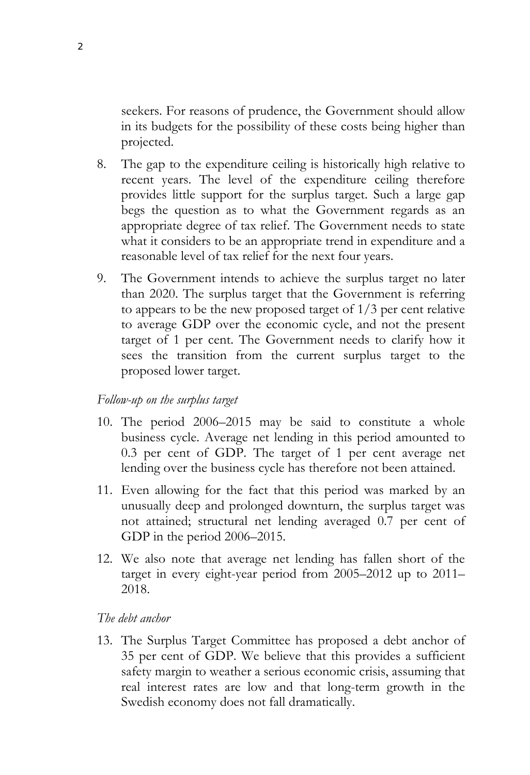seekers. For reasons of prudence, the Government should allow in its budgets for the possibility of these costs being higher than projected.

- 8. The gap to the expenditure ceiling is historically high relative to recent years. The level of the expenditure ceiling therefore provides little support for the surplus target. Such a large gap begs the question as to what the Government regards as an appropriate degree of tax relief. The Government needs to state what it considers to be an appropriate trend in expenditure and a reasonable level of tax relief for the next four years.
- 9. The Government intends to achieve the surplus target no later than 2020. The surplus target that the Government is referring to appears to be the new proposed target of 1/3 per cent relative to average GDP over the economic cycle, and not the present target of 1 per cent. The Government needs to clarify how it sees the transition from the current surplus target to the proposed lower target.

# *Follow-up on the surplus target*

- 10. The period 2006–2015 may be said to constitute a whole business cycle. Average net lending in this period amounted to 0.3 per cent of GDP. The target of 1 per cent average net lending over the business cycle has therefore not been attained.
- 11. Even allowing for the fact that this period was marked by an unusually deep and prolonged downturn, the surplus target was not attained; structural net lending averaged 0.7 per cent of GDP in the period 2006–2015.
- 12. We also note that average net lending has fallen short of the target in every eight-year period from 2005–2012 up to 2011– 2018.

## *The debt anchor*

13. The Surplus Target Committee has proposed a debt anchor of 35 per cent of GDP. We believe that this provides a sufficient safety margin to weather a serious economic crisis, assuming that real interest rates are low and that long-term growth in the Swedish economy does not fall dramatically.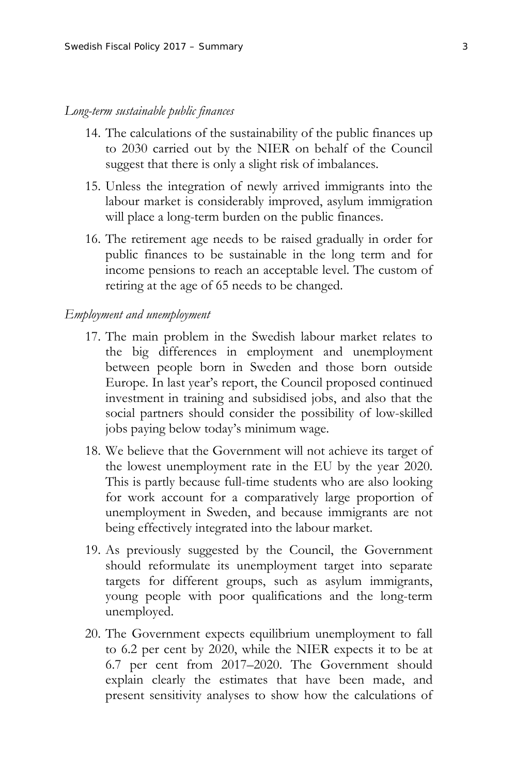#### *Long-term sustainable public finances*

- 14. The calculations of the sustainability of the public finances up to 2030 carried out by the NIER on behalf of the Council suggest that there is only a slight risk of imbalances.
- 15. Unless the integration of newly arrived immigrants into the labour market is considerably improved, asylum immigration will place a long-term burden on the public finances.
- 16. The retirement age needs to be raised gradually in order for public finances to be sustainable in the long term and for income pensions to reach an acceptable level. The custom of retiring at the age of 65 needs to be changed.

#### *Employment and unemployment*

- 17. The main problem in the Swedish labour market relates to the big differences in employment and unemployment between people born in Sweden and those born outside Europe. In last year's report, the Council proposed continued investment in training and subsidised jobs, and also that the social partners should consider the possibility of low-skilled jobs paying below today's minimum wage.
- 18. We believe that the Government will not achieve its target of the lowest unemployment rate in the EU by the year 2020. This is partly because full-time students who are also looking for work account for a comparatively large proportion of unemployment in Sweden, and because immigrants are not being effectively integrated into the labour market.
- 19. As previously suggested by the Council, the Government should reformulate its unemployment target into separate targets for different groups, such as asylum immigrants, young people with poor qualifications and the long-term unemployed.
- 20. The Government expects equilibrium unemployment to fall to 6.2 per cent by 2020, while the NIER expects it to be at 6.7 per cent from 2017–2020. The Government should explain clearly the estimates that have been made, and present sensitivity analyses to show how the calculations of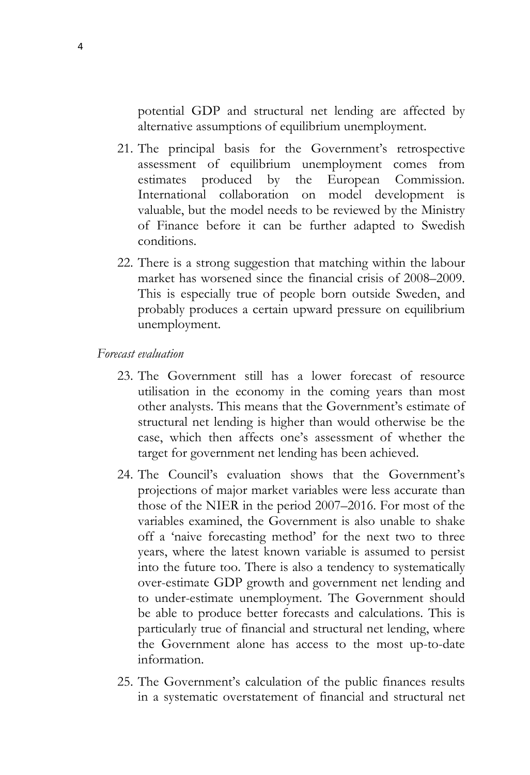potential GDP and structural net lending are affected by alternative assumptions of equilibrium unemployment.

- 21. The principal basis for the Government's retrospective assessment of equilibrium unemployment comes from estimates produced by the European Commission. International collaboration on model development is valuable, but the model needs to be reviewed by the Ministry of Finance before it can be further adapted to Swedish conditions.
- 22. There is a strong suggestion that matching within the labour market has worsened since the financial crisis of 2008–2009. This is especially true of people born outside Sweden, and probably produces a certain upward pressure on equilibrium unemployment.

# *Forecast evaluation*

- 23. The Government still has a lower forecast of resource utilisation in the economy in the coming years than most other analysts. This means that the Government's estimate of structural net lending is higher than would otherwise be the case, which then affects one's assessment of whether the target for government net lending has been achieved.
- 24. The Council's evaluation shows that the Government's projections of major market variables were less accurate than those of the NIER in the period 2007–2016. For most of the variables examined, the Government is also unable to shake off a 'naive forecasting method' for the next two to three years, where the latest known variable is assumed to persist into the future too. There is also a tendency to systematically over-estimate GDP growth and government net lending and to under-estimate unemployment. The Government should be able to produce better forecasts and calculations. This is particularly true of financial and structural net lending, where the Government alone has access to the most up-to-date information.
- 25. The Government's calculation of the public finances results in a systematic overstatement of financial and structural net